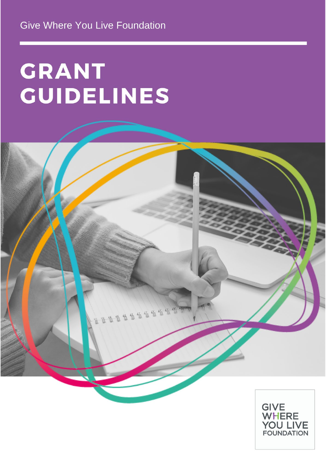# **GRANT GUIDELINES**



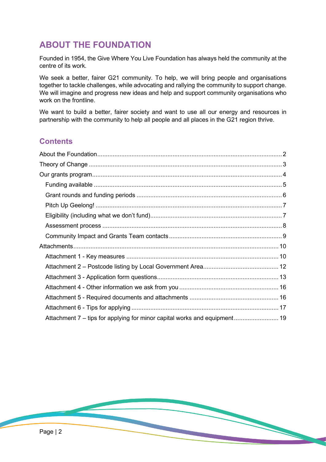# <span id="page-1-0"></span>**ABOUT THE FOUNDATION**

Founded in 1954, the Give Where You Live Foundation has always held the community at the centre of its work.

We seek a better, fairer G21 community. To help, we will bring people and organisations together to tackle challenges, while advocating and rallying the community to support change. We will imagine and progress new ideas and help and support community organisations who work on the frontline.

We want to build a better, fairer society and want to use all our energy and resources in partnership with the community to help all people and all places in the G21 region thrive.

# **Contents**

| Attachment 7 – tips for applying for minor capital works and equipment 19 |  |
|---------------------------------------------------------------------------|--|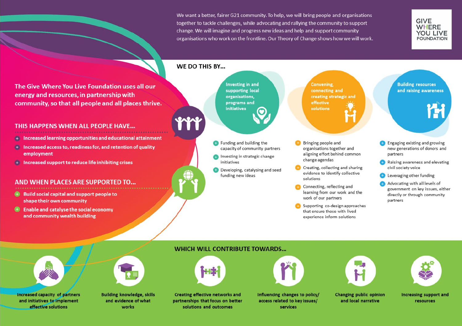We want a better, fairer G21 community. To help, we will bring people and organisations together to tackle challenges, while advocating and rallying the community to support change. We will imagine and progress new ideas and help and support community organisations who work on the frontline. Our Theory of Change shows how we will work.



The Give Where You Live Foundation uses all our energy and resources, in partnership with community, so that all people and all places thrive.

## THIS HAPPENS WHEN ALL PEOPLE HAVE...

**THEORY OF CHANGE**

- Increased learning opportunities and educational attainment GB.
- <span id="page-2-0"></span><sup>4</sup> Increased access to, readiness for, and retention of quality employment
- Increased support to reduce life inhibiting crises 确

## AND WHEN PLACES ARE SUPPORTED TO...

- $\bigoplus$  Build social capital and support people to shape their own community
- $\bigoplus$  Enable and catalyse the social economy and community wealth building

# WE DO THIS BY...

**PACAC** 

**Investing in and** supporting local organisations. programs and initiatives

**C** Funding and building the capacity of community partners

- Investing in strategic change initiatives
- Developing, catalysing and seed funding new ideas

Convening, connecting and creating strategic and effective solutions

- Bringing people and organisations together and aligning effort behind common change agendas
- Creating, collecting and sharing evidence to identify collective solutions
- Connecting, reflecting and learning from our work and the work of our partners
- Supporting co-design approaches that ensure those with lived experience inform solutions

**Building resources** and raising awareness

- **Co** Engaging existing and growing new generations of donors and partners
- Raising awareness and elevating civil society voice
- **Collected** Leveraging other funding
- Advocating with all levels of government on key issues, either directly or through community partners

#### **WHICH WILL CONTRIBUTE TOWARDS...**









Increasing support and resources



Increased capacity of partners<br>and initiatives to implement effective solutions

**Building knowledge, skills** and evidence of what works

**Creating effective networks and** partnerships that focus on better solutions and outcomes

Influencing changes to policy/ access related to key issues/ services

Changing public opinion and local narrative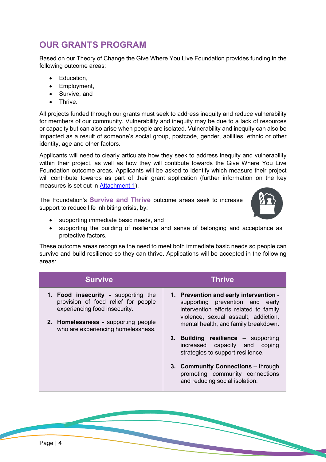# <span id="page-3-0"></span>**OUR GRANTS PROGRAM**

Based on our Theory of Change the Give Where You Live Foundation provides funding in the following outcome areas:

- Education,
- Employment,
- Survive, and
- Thrive.

All projects funded through our grants must seek to address inequity and reduce vulnerability for members of our community. Vulnerability and inequity may be due to a lack of resources or capacity but can also arise when people are isolated. Vulnerability and inequity can also be impacted as a result of someone's social group, postcode, gender, abilities, ethnic or other identity, age and other factors.

Applicants will need to clearly articulate how they seek to address inequity and vulnerability within their project, as well as how they will contibute towards the Give Where You Live Foundation outcome areas. Applicants will be asked to identify which measure their project will contribute towards as part of their grant application (further information on the key measures is set out in [Attachment 1\)](#page-9-1).

The Foundation's **Survive and Thrive** outcome areas seek to increase support to reduce life inhibiting crisis, by:



- supporting immediate basic needs, and
- supporting the building of resilience and sense of belonging and acceptance as protective factors.

These outcome areas recognise the need to meet both immediate basic needs so people can survive and build resilience so they can thrive. Applications will be accepted in the following areas:

| <b>Survive</b>                                                                                                                                     | <b>Thrive</b>                                                                                                                                                                                       |
|----------------------------------------------------------------------------------------------------------------------------------------------------|-----------------------------------------------------------------------------------------------------------------------------------------------------------------------------------------------------|
| 1. Food insecurity - supporting the<br>provision of food relief for people<br>experiencing food insecurity.<br>2. Homelessness - supporting people | 1. Prevention and early intervention -<br>supporting prevention and early<br>intervention efforts related to family<br>violence, sexual assault, addiction,<br>mental health, and family breakdown. |
| who are experiencing homelessness.                                                                                                                 | 2. Building resilience - supporting<br>increased capacity and coping<br>strategies to support resilience.                                                                                           |
|                                                                                                                                                    | 3. Community Connections - through<br>promoting community connections<br>and reducing social isolation.                                                                                             |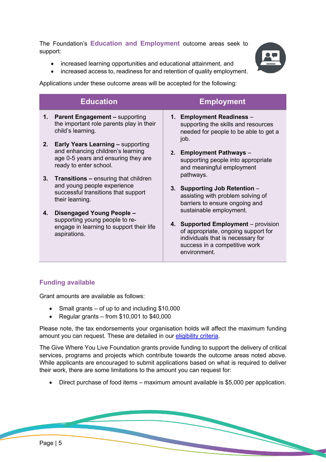The Foundation's **Education and Employment** outcome areas seek to support:

- increased learning opportunities and educational attainment, and
- increased access to, readiness for and retention of quality employment.

Applications under these outcome areas will be accepted for the following:

|    | <b>Education</b>                                                                                                                               | <b>Employment</b>                                                                                                                                                           |  |
|----|------------------------------------------------------------------------------------------------------------------------------------------------|-----------------------------------------------------------------------------------------------------------------------------------------------------------------------------|--|
| 1. | <b>Parent Engagement - supporting</b><br>the important role parents play in their<br>child's learning.                                         | <b>Employment Readiness -</b><br>1.<br>supporting the skills and resources<br>needed for people to be able to get a<br>job.                                                 |  |
| 2. | <b>Early Years Learning - supporting</b><br>and enhancing children's learning<br>age 0-5 years and ensuring they are<br>ready to enter school. | 2. Employment Pathways -<br>supporting people into appropriate<br>and meaningful employment                                                                                 |  |
|    | 3. Transitions – ensuring that children<br>and young people experience<br>successful transitions that support<br>their learning.               | pathways.<br>3. Supporting Job Retention -<br>assisting with problem solving of<br>barriers to ensure ongoing and                                                           |  |
| 4. | Disengaged Young People -<br>supporting young people to re-<br>engage in learning to support their life<br>aspirations.                        | sustainable employment.<br>4. Supported Employment – provision<br>of appropriate, ongoing support for<br>individuals that is necessary for<br>success in a competitive work |  |

# <span id="page-4-0"></span>**Funding available**

Grant amounts are available as follows:

- Small grants of up to and including \$10,000
- Regular grants from  $$10.001$  to  $$40.000$

Please note, the tax endorsements your organisation holds will affect the maximum funding amount you can request. These are detailed in our eligibility criteria.

environment.

The Give Where You Live Foundation grants provide funding to support the delivery of critical services, programs and projects which contribute towards the outcome areas noted above. While applicants are encouraged to submit applications based on what is required to deliver their work, there are some limitations to the amount you can request for:

• Direct purchase of food items – maximum amount available is \$5,000 per application.

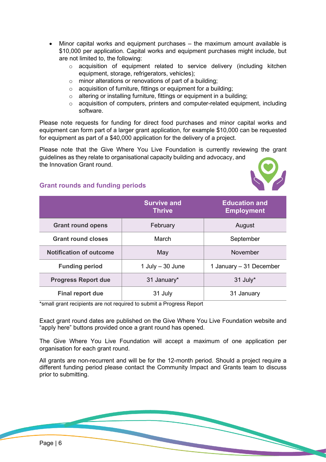- Minor capital works and equipment purchases the maximum amount available is \$10,000 per application. Capital works and equipment purchases might include, but are not limited to, the following:
	- $\circ$  acquisition of equipment related to service delivery (including kitchen equipment, storage, refrigerators, vehicles);
	- o minor alterations or renovations of part of a building;
	- o acquisition of furniture, fittings or equipment for a building;
	- o altering or installing furniture, fittings or equipment in a building;
	- $\circ$  acquisition of computers, printers and computer-related equipment, including software.

Please note requests for funding for direct food purchases and minor capital works and equipment can form part of a larger grant application, for example \$10,000 can be requested for equipment as part of a \$40,000 application for the delivery of a project.

Please note that the Give Where You Live Foundation is currently reviewing the grant guidelines as they relate to organisational capacity building and advocacy, and the Innovation Grant round.



# <span id="page-5-0"></span>**Grant rounds and funding periods**

|                                | <b>Survive and</b><br><b>Thrive</b> | <b>Education and</b><br><b>Employment</b> |
|--------------------------------|-------------------------------------|-------------------------------------------|
| <b>Grant round opens</b>       | February                            | August                                    |
| <b>Grant round closes</b>      | March                               | September                                 |
| <b>Notification of outcome</b> | May                                 | November                                  |
| <b>Funding period</b>          | 1 July $-30$ June                   | 1 January - 31 December                   |
| <b>Progress Report due</b>     | 31 January*                         | $31$ July $*$                             |
| Final report due               | 31 July                             | 31 January                                |

\*small grant recipients are not required to submit a Progress Report

Exact grant round dates are published on the Give Where You Live Foundation website and "apply here" buttons provided once a grant round has opened.

The Give Where You Live Foundation will accept a maximum of one application per organisation for each grant round.

All grants are non-recurrent and will be for the 12-month period. Should a project require a different funding period please contact the Community Impact and Grants team to discuss prior to submitting.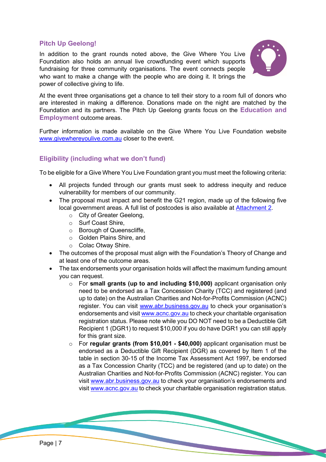# <span id="page-6-0"></span>**Pitch Up Geelong!**

In addition to the grant rounds noted above, the Give Where You Live Foundation also holds an annual live crowdfunding event which supports fundraising for three community organisations. The event connects people who want to make a change with the people who are doing it. It brings the power of collective giving to life.



At the event three organisations get a chance to tell their story to a room full of donors who are interested in making a difference. Donations made on the night are matched by the Foundation and its partners. The Pitch Up Geelong grants focus on the **Education and Employment** outcome areas.

Further information is made available on the Give Where You Live Foundation website [www.givewhereyoulive.com.au](http://www.givewhereyoulive.com.au/) closer to the event.

## <span id="page-6-1"></span>**Eligibility (including what we don't fund)**

To be eligible for a Give Where You Live Foundation grant you must meet the following criteria:

- All projects funded through our grants must seek to address inequity and reduce vulnerability for members of our community.
- The proposal must impact and benefit the G21 region, made up of the following five local government areas. A full list of postcodes is also available at [Attachment](#page-11-0) 2.
	- o City of Greater Geelong,
	- o Surf Coast Shire,
	- o Borough of Queenscliffe,
	- o Golden Plains Shire, and
	- o Colac Otway Shire.
- The outcomes of the proposal must align with the Foundation's Theory of Change and at least one of the outcome areas.
- The tax endorsements your organisation holds will affect the maximum funding amount you can request.
	- o For **small grants (up to and including \$10,000)** applicant organisation only need to be endorsed as a Tax Concession Charity (TCC) and registered (and up to date) on the Australian Charities and Not-for-Profits Commission (ACNC) register. You can visit [www.abr.business.gov.au](http://www.abr.business.gov.au/) to check your organisation's endorsements and visit [www.acnc.gov.au](http://www.acnc.gov.au/) to check your charitable organisation registration status. Please note while you DO NOT need to be a Deductible Gift Recipient 1 (DGR1) to request \$10,000 if you do have DGR1 you can still apply for this grant size.
	- o For **regular grants (from \$10,001 - \$40,000)** applicant organisation must be endorsed as a Deductible Gift Recipient (DGR) as covered by Item 1 of the table in section 30-15 of the Income Tax Assessment Act 1997, be endorsed as a Tax Concession Charity (TCC) and be registered (and up to date) on the Australian Charities and Not-for-Profits Commission (ACNC) register. You can visit [www.abr.business.gov.au](http://www.abr.business.gov.au/) to check your organisation's endorsements and visit [www.acnc.gov.au](http://www.acnc.gov.au/) to check your charitable organisation registration status.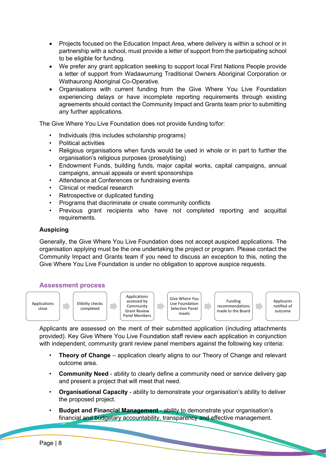- Projects focused on the Education Impact Area, where delivery is within a school or in partnership with a school, must provide a letter of support from the participating school to be eligible for funding.
- We prefer any grant application seeking to support local First Nations People provide a letter of support from Wadawurrung Traditional Owners Aboriginal Corporation or Wathaurong Aboriginal Co-Operative.
- Organisations with current funding from the Give Where You Live Foundation experiencing delays or have incomplete reporting requirements through existing agreements should contact the Community Impact and Grants team prior to submitting any further applications.

The Give Where You Live Foundation does not provide funding to/for:

- Individuals (this includes scholarship programs)
- Political activities
- Religious organisations when funds would be used in whole or in part to further the organisation's religious purposes (proselytising)
- Endowment Funds, building funds, major capital works, capital campaigns, annual campaigns, annual appeals or event sponsorships
- Attendance at Conferences or fundraising events
- Clinical or medical research
- Retrospective or duplicated funding
- Programs that discriminate or create community conflicts
- Previous grant recipients who have not completed reporting and acquittal requirements.

## **Auspicing**

Generally, the Give Where You Live Foundation does not accept auspiced applications. The organisation applying must be the one undertaking the project or program. Please contact the Community Impact and Grants team if you need to discuss an exception to this, noting the Give Where You Live Foundation is under no obligation to approve auspice requests.

## <span id="page-7-0"></span>**Assessment process**



Applicants are assessed on the merit of their submitted application (including attachments provided). Key Give Where You Live Foundation staff review each application in conjunction with independent, community grant review panel members against the following key criteria:

- **Theory of Change** application clearly aligns to our Theory of Change and relevant outcome area.
- **Community Need** ability to clearly define a community need or service delivery gap and present a project that will meet that need.
- **Organisational Capacity** ability to demonstrate your organisation's ability to deliver the proposed project.
- **Budget and Financial Management** ability to demonstrate your organisation's financial and budgetary accountability, transparency and effective management.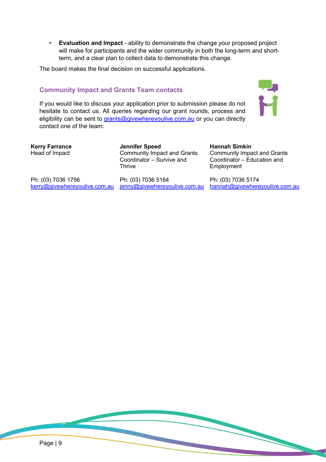• **Evaluation and Impact** - ability to demonstrate the change your proposed project will make for participants and the wider community in both the long-term and shortterm, and a clear plan to collect data to demonstrate this change.

The board makes the final decision on successful applications.

# **Community Impact and Grants Team contacts**

<span id="page-8-0"></span>If you would like to discuss your application prior to submission please do not hesitate to contact us. All queries regarding our grant rounds, process and eligibility can be sent to [grants@givewhereyoulive.com.au](mailto:grants@givewhereyoulive.com.au) or you can directly contact one of the team:



**Kerry Farrance** Head of Impact

**Jennifer Speed** Community Impact and Grants Coordinator – Survive and **Thrive** 

Ph: (03) 7036 1756 <u>[kerry@givewhereyoulive.com.au](mailto:kerry@givewhereyoulive.com.au)</u> <u>[jenny@givewhereyoulive.com.au](mailto:jenny@givewhereyoulive.com.au)</u>

Ph: (03) 7036 5164

**Hannah Simkin** Community Impact and Grants Coordinator – Education and **Employment** 

Ph: (03) 7036 5174 [hannah@givewhereyoulive.com.au](mailto:hannah@givewhereyoulive.com.au)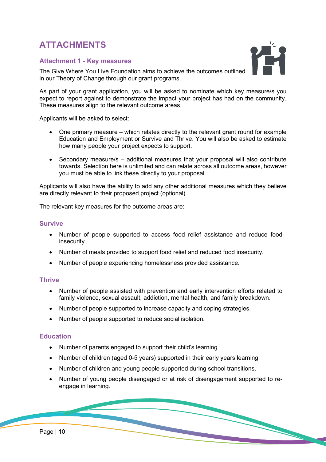# <span id="page-9-2"></span><span id="page-9-0"></span>**ATTACHMENTS**

## <span id="page-9-1"></span>**Attachment 1 - Key measures**

The Give Where You Live Foundation aims to achieve the outcomes outlined in our Theory of Change through our grant programs.

As part of your grant application, you will be asked to nominate which key measure/s you expect to report against to demonstrate the impact your project has had on the community. These measures align to the relevant outcome areas.

Applicants will be asked to select:

- One primary measure which relates directly to the relevant grant round for example Education and Employment or Survive and Thrive. You will also be asked to estimate how many people your project expects to support.
- Secondary measure/s additional measures that your proposal will also contribute towards. Selection here is unlimited and can relate across all outcome areas, however you must be able to link these directly to your proposal.

Applicants will also have the ability to add any other additional measures which they believe are directly relevant to their proposed project (optional).

The relevant key measures for the outcome areas are:

#### **Survive**

- Number of people supported to access food relief assistance and reduce food insecurity.
- Number of meals provided to support food relief and reduced food insecurity.
- Number of people experiencing homelessness provided assistance.

#### **Thrive**

- Number of people assisted with prevention and early intervention efforts related to family violence, sexual assault, addiction, mental health, and family breakdown.
- Number of people supported to increase capacity and coping strategies.
- Number of people supported to reduce social isolation.

## **Education**

- Number of parents engaged to support their child's learning.
- Number of children (aged 0-5 years) supported in their early years learning.
- Number of children and young people supported during school transitions.
- Number of young people disengaged or at risk of disengagement supported to reengage in learning.

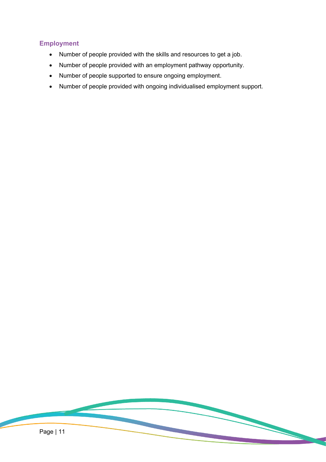# **Employment**

- Number of people provided with the skills and resources to get a job.
- Number of people provided with an employment pathway opportunity.
- Number of people supported to ensure ongoing employment.
- Number of people provided with ongoing individualised employment support.

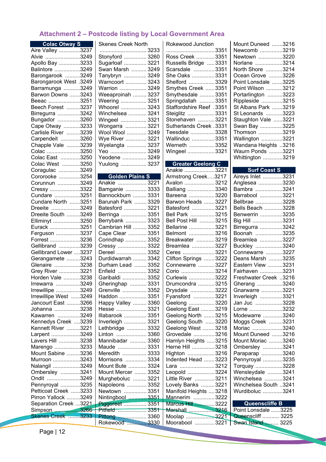## <span id="page-11-0"></span>**Attachment 2 – Postcode listing by Local Government Area**

| <b>Colac Otway S</b>                     |  |
|------------------------------------------|--|
| Aire Valley 3237                         |  |
| Alvie 3249                               |  |
| Apollo Bay 3233                          |  |
| Balintore 3249                           |  |
| Barongarook 3249                         |  |
| <b>Barongarook West .3249</b>            |  |
| Barramunga 3249                          |  |
| Barwon Downs 3243                        |  |
| Beeac 3251                               |  |
|                                          |  |
| Beech Forest 3237                        |  |
| Birregurra 3242                          |  |
| Bungador 3260                            |  |
| Cape Otway 3233                          |  |
| Carlisle River 3239                      |  |
| Carpendeit 3260                          |  |
| Chapple Vale 3239                        |  |
| Colac 3250                               |  |
| Colac East 3250                          |  |
| Colac West 3250                          |  |
| Coragulac 3249                           |  |
| Cororooke 3254                           |  |
|                                          |  |
| Corunnun 3249                            |  |
| Cressy 3322                              |  |
| Cundare 3251                             |  |
| Cundare North 3251                       |  |
| Dreeite 3249                             |  |
| Dreeite South 3249                       |  |
| Elliminyt 3250                           |  |
| Eurack 3251                              |  |
| Ferguson 3237                            |  |
| Forrest 3236                             |  |
| Gellibrand 3239                          |  |
| Gellibrand Lower 3237                    |  |
| Gerangamete 3243                         |  |
| Glenaire 3238                            |  |
|                                          |  |
| Grey River 3221                          |  |
| Horden Vale 3238                         |  |
| Irrewarra 3249                           |  |
| Irrewillipe 3249                         |  |
| Irrewillipe West 3249                    |  |
| Jancourt East 3266                       |  |
| Johanna 3238                             |  |
| Kawarren 3249                            |  |
| Kennedys Creek 3239                      |  |
| Kennett River 3221                       |  |
| Larpent 3249                             |  |
| Lavers Hill 3238                         |  |
|                                          |  |
| Marengo 3233                             |  |
| Mount Sabine 3236                        |  |
| Murroon 3243                             |  |
| Nalangil 3249                            |  |
| Ombersley 3241                           |  |
| Ondit<br>3249                            |  |
| Pennyroyal 3235                          |  |
| Petticoat Creek 3233                     |  |
|                                          |  |
|                                          |  |
| Pirron Yallock 3249                      |  |
| Separation Creek 3221                    |  |
| Simpson 3266<br><b>Skenes Creek 3233</b> |  |

| <b>Skenes Creek North</b> |  |  |  |
|---------------------------|--|--|--|
|                           |  |  |  |
| Stonyford  3260           |  |  |  |
| Sugarloaf  3221           |  |  |  |
| Swan Marsh  3249          |  |  |  |
| Tanybryn  3249            |  |  |  |
| Warncoort  3243           |  |  |  |
| Warrion  3249             |  |  |  |
| Weeaproinah  3237         |  |  |  |
| Weering  3251             |  |  |  |
| Whoorel  3243             |  |  |  |
| Winchelsea  3241          |  |  |  |
| Wingeel  3321             |  |  |  |
| Wongarra  3221            |  |  |  |
| Wool Wool  3249           |  |  |  |
| Wye River  3221           |  |  |  |
| Wyelangta  3237           |  |  |  |
| Yeo  3249                 |  |  |  |
| Yeodene  3249             |  |  |  |
| Yuulong  3237             |  |  |  |
|                           |  |  |  |
| <b>Golden Plains S</b>    |  |  |  |
| Anakie  3221              |  |  |  |
| Bamganie  3333            |  |  |  |
| Bannockburn  3331         |  |  |  |
| Barunah Park  3329        |  |  |  |
|                           |  |  |  |

| ∟טטט  ∪טטח                                             |  |
|--------------------------------------------------------|--|
| Barunah Park  3329                                     |  |
| Batesford  3221                                        |  |
| Berringa  3351<br>Berrybank  3323                      |  |
|                                                        |  |
| Cambrian Hill  3352                                    |  |
| Cape Clear  3351                                       |  |
| Corindhap  3352                                        |  |
| Cressy  3322                                           |  |
| Dereel  3352                                           |  |
| Durdidwarrah  3342                                     |  |
| Durham Lead  3352                                      |  |
| Enfield  3352                                          |  |
| Garibaldi  3352                                        |  |
| Gheringhap  3331                                       |  |
| Grenville  3352                                        |  |
| Haddon  3351                                           |  |
| Happy Valley  3360                                     |  |
| Hesse 3321                                             |  |
| Illabarook  3351                                       |  |
| Inverleigh  3321                                       |  |
| Lethbridge  3332                                       |  |
| Linton  3360                                           |  |
| Mannibadar  3360                                       |  |
| Maude  3331                                            |  |
| Meredith  3333                                         |  |
| Morrisons  3334                                        |  |
| Mount Bute  3324                                       |  |
| Mount Mercer  3352                                     |  |
| Murgheboluc  3221                                      |  |
| Napoleons  3352                                        |  |
| Newtown  3351                                          |  |
|                                                        |  |
| Nintingbool  3351<br>Piggoreet  3351<br>Pitfield  3351 |  |
|                                                        |  |
| Pittong  3360<br>Rokewood  3330                        |  |
|                                                        |  |

| Rokewood Junction               |  |
|---------------------------------|--|
| 3351                            |  |
| Ross Creek 3351                 |  |
| Russells Bridge 3331            |  |
| Scarsdale 3351                  |  |
| She Oaks 3331                   |  |
| Shelford 3329                   |  |
| Smythes Creek 3351              |  |
| Smythesdale  3351               |  |
| Springdallah 3351               |  |
| <b>Staffordshire Reef</b> .3351 |  |
| Steiglitz 3331                  |  |
| Stonehaven 3221                 |  |
| Sutherlands Creek .3331         |  |
| Teesdale 3328                   |  |
| Wallinduc 3351                  |  |
| Werneth   3352                  |  |
| Wingeel 3321                    |  |
|                                 |  |

#### **Greater Geelong C**  Anakie ....................3221 Armstrong Creek….3217 Avalon ....................3212 Balliang ..................3340 Bareena .................3220 Barwon Heads .......3227 Batesford ...............3221 Bell Park ................3215 Bell Post Hill ..........3215 Bellarine .................3221 Belmont .................3216 Breakwater ............3219 Breamlea ...............3227 Ceres .....................3221 Clifton Springs .......3222 Connewarre ...........3227 Corio ......................3214 Curlewis .................3222 Drumcondra ...........3215 Drysdale ................3222 Fyansford ..............3221 Geelong .................3220 Geelong East .........3219 Geelong North .......3215 Geelong South ......3220 Geelong West ........3218 Grovedale ..............3216 Hamlyn Heights .....3215 Herne Hill ...............3218 Highton ..................3216 Indented Head .......3223 Lara .......................3212 Leopold ..................3224 Little River .............3211 Lovely Banks .........3221 Manifold Heights ....3218 Mannerim ..............3222 Marcus Hill .............3222 Marshall .................3216 Moolap ...................3221 Moorabool .............3221

| Mount Duneed 3216<br>Newcomb 3219 |  |
|-----------------------------------|--|
| Newtown 3220                      |  |
| Norlane 3214                      |  |
| North Shore 3214                  |  |
| Ocean Grove 3226                  |  |
| Point Lonsdale 3225               |  |
| Point Wilson 3212                 |  |
| Portarlington 3223                |  |
| Rippleside 3215                   |  |
| St Albans Park 3219               |  |
| St Leonards 3223                  |  |
| Staughton Vale 3221               |  |
| Swan Bay 3225                     |  |
| Thomson 3219                      |  |
| Wallington 3221                   |  |
| Wandana Heights 3216              |  |
| Waurn Ponds 3221                  |  |
| Whittington 3219                  |  |
|                                   |  |

| <b>Surf Coast S</b>      |  |
|--------------------------|--|
| Aireys Inlet 3231        |  |
| Anglesea 3230            |  |
| Bambra 3241              |  |
| Barrabool 3221           |  |
| Bellbrae 3228            |  |
| Bells Beach 3228         |  |
| Benwerrin 3235           |  |
| Big Hill 3231            |  |
| Birregurra 3242          |  |
| Boonah 3235              |  |
| Breamlea 3227            |  |
| Buckley 3240             |  |
| Connewarre 3227          |  |
| Deans Marsh 3235         |  |
| Eastern View 3231        |  |
| Fairhaven 3231           |  |
| Freshwater Creek 3216    |  |
| Gherang 3240             |  |
| Gnarwarre 3221           |  |
| Inverleigh 3321          |  |
| Jan Juc 3228             |  |
| Lorne 3232               |  |
| Modewarre 3240           |  |
| Moggs Creek 3231         |  |
| Moriac 3240              |  |
| Mount Duneed 3216        |  |
| Mount Moriac 3240        |  |
| Ombersley 3241           |  |
| Paraparap 3240           |  |
| Pennyroyal 3235          |  |
| Torquay 3228             |  |
| Wensleydale 3241         |  |
| Winchelsea 3241          |  |
| Winchelsea South 3241    |  |
| Wurdiboluc 3241          |  |
|                          |  |
| Queenscliffe B           |  |
| $2$ oint Lonedalo $3225$ |  |

| Queenscliffe B      |  |  |
|---------------------|--|--|
| Point Lonsdale 3225 |  |  |
| Queenscliff  3225   |  |  |
| Swan Island  3225   |  |  |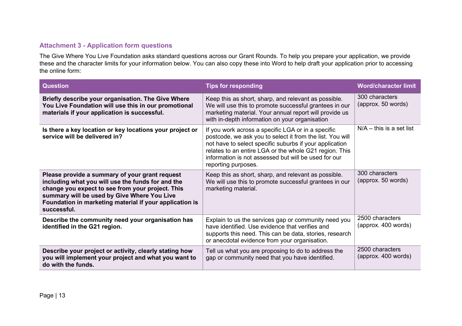# **Attachment 3 - Application form questions**

The Give Where You Live Foundation asks standard questions across our Grant Rounds. To help you prepare your application, we provide these and the character limits for your information below. You can also copy these into Word to help draft your application prior to accessing the online form:

<span id="page-12-0"></span>

| <b>Question</b>                                                                                                                                                                                                                                                                  | <b>Tips for responding</b>                                                                                                                                                                                                                                                                                          | <b>Word/character limit</b>            |
|----------------------------------------------------------------------------------------------------------------------------------------------------------------------------------------------------------------------------------------------------------------------------------|---------------------------------------------------------------------------------------------------------------------------------------------------------------------------------------------------------------------------------------------------------------------------------------------------------------------|----------------------------------------|
| Briefly describe your organisation. The Give Where<br>You Live Foundation will use this in our promotional<br>materials if your application is successful.                                                                                                                       | Keep this as short, sharp, and relevant as possible.<br>We will use this to promote successful grantees in our<br>marketing material. Your annual report will provide us<br>with in-depth information on your organisation                                                                                          | 300 characters<br>(approx. 50 words)   |
| Is there a key location or key locations your project or<br>service will be delivered in?                                                                                                                                                                                        | If you work across a specific LGA or in a specific<br>postcode, we ask you to select it from the list. You will<br>not have to select specific suburbs if your application<br>relates to an entire LGA or the whole G21 region. This<br>information is not assessed but will be used for our<br>reporting purposes. | $N/A -$ this is a set list             |
| Please provide a summary of your grant request<br>including what you will use the funds for and the<br>change you expect to see from your project. This<br>summary will be used by Give Where You Live<br>Foundation in marketing material if your application is<br>successful. | Keep this as short, sharp, and relevant as possible.<br>We will use this to promote successful grantees in our<br>marketing material.                                                                                                                                                                               | 300 characters<br>(approx. 50 words)   |
| Describe the community need your organisation has<br>identified in the G21 region.                                                                                                                                                                                               | Explain to us the services gap or community need you<br>have identified. Use evidence that verifies and<br>supports this need. This can be data, stories, research<br>or anecdotal evidence from your organisation.                                                                                                 | 2500 characters<br>(approx. 400 words) |
| Describe your project or activity, clearly stating how<br>you will implement your project and what you want to<br>do with the funds.                                                                                                                                             | Tell us what you are proposing to do to address the<br>gap or community need that you have identified.                                                                                                                                                                                                              | 2500 characters<br>(approx. 400 words) |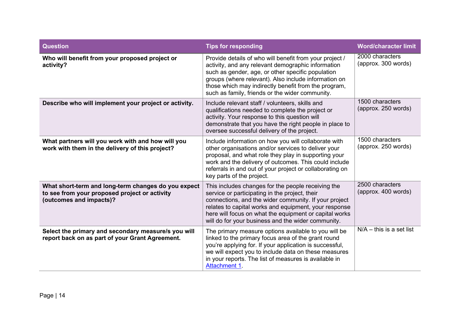| <b>Question</b>                                                                                                                 | <b>Tips for responding</b>                                                                                                                                                                                                                                                                                                             | <b>Word/character limit</b>            |
|---------------------------------------------------------------------------------------------------------------------------------|----------------------------------------------------------------------------------------------------------------------------------------------------------------------------------------------------------------------------------------------------------------------------------------------------------------------------------------|----------------------------------------|
| Who will benefit from your proposed project or<br>activity?                                                                     | Provide details of who will benefit from your project /<br>activity, and any relevant demographic information<br>such as gender, age, or other specific population<br>groups (where relevant). Also include information on<br>those which may indirectly benefit from the program,<br>such as family, friends or the wider community.  | 2000 characters<br>(approx. 300 words) |
| Describe who will implement your project or activity.                                                                           | Include relevant staff / volunteers, skills and<br>qualifications needed to complete the project or<br>activity. Your response to this question will<br>demonstrate that you have the right people in place to<br>oversee successful delivery of the project.                                                                          | 1500 characters<br>(approx. 250 words) |
| What partners will you work with and how will you<br>work with them in the delivery of this project?                            | Include information on how you will collaborate with<br>other organisations and/or services to deliver your<br>proposal, and what role they play in supporting your<br>work and the delivery of outcomes. This could include<br>referrals in and out of your project or collaborating on<br>key parts of the project.                  | 1500 characters<br>(approx. 250 words) |
| What short-term and long-term changes do you expect<br>to see from your proposed project or activity<br>(outcomes and impacts)? | This includes changes for the people receiving the<br>service or participating in the project, their<br>connections, and the wider community. If your project<br>relates to capital works and equipment, your response<br>here will focus on what the equipment or capital works<br>will do for your business and the wider community. | 2500 characters<br>(approx. 400 words) |
| Select the primary and secondary measure/s you will<br>report back on as part of your Grant Agreement.                          | The primary measure options available to you will be<br>linked to the primary focus area of the grant round<br>you're applying for. If your application is successful,<br>we will expect you to include data on these measures<br>in your reports. The list of measures is available in<br>Attachment 1.                               | $N/A -$ this is a set list             |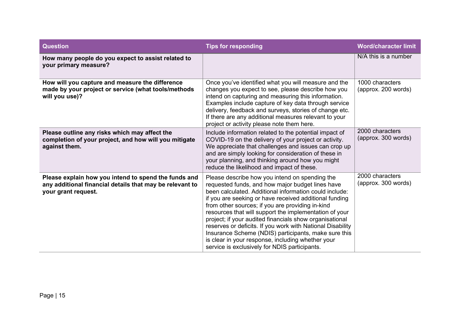| <b>Question</b>                                                                                                                         | <b>Tips for responding</b>                                                                                                                                                                                                                                                                                                                                                                                                                                                                                                                                                                                                  | <b>Word/character limit</b>            |
|-----------------------------------------------------------------------------------------------------------------------------------------|-----------------------------------------------------------------------------------------------------------------------------------------------------------------------------------------------------------------------------------------------------------------------------------------------------------------------------------------------------------------------------------------------------------------------------------------------------------------------------------------------------------------------------------------------------------------------------------------------------------------------------|----------------------------------------|
| How many people do you expect to assist related to<br>your primary measure?                                                             |                                                                                                                                                                                                                                                                                                                                                                                                                                                                                                                                                                                                                             | N/A this is a number                   |
| How will you capture and measure the difference<br>made by your project or service (what tools/methods<br>will you use)?                | Once you've identified what you will measure and the<br>changes you expect to see, please describe how you<br>intend on capturing and measuring this information.<br>Examples include capture of key data through service<br>delivery, feedback and surveys, stories of change etc.<br>If there are any additional measures relevant to your<br>project or activity please note them here.                                                                                                                                                                                                                                  | 1000 characters<br>(approx. 200 words) |
| Please outline any risks which may affect the<br>completion of your project, and how will you mitigate<br>against them.                 | Include information related to the potential impact of<br>COVID-19 on the delivery of your project or activity.<br>We appreciate that challenges and issues can crop up<br>and are simply looking for consideration of these in<br>your planning, and thinking around how you might<br>reduce the likelihood and impact of these.                                                                                                                                                                                                                                                                                           | 2000 characters<br>(approx. 300 words) |
| Please explain how you intend to spend the funds and<br>any additional financial details that may be relevant to<br>your grant request. | Please describe how you intend on spending the<br>requested funds, and how major budget lines have<br>been calculated. Additional information could include:<br>if you are seeking or have received additional funding<br>from other sources; if you are providing in-kind<br>resources that will support the implementation of your<br>project; if your audited financials show organisational<br>reserves or deficits. If you work with National Disability<br>Insurance Scheme (NDIS) participants, make sure this<br>is clear in your response, including whether your<br>service is exclusively for NDIS participants. | 2000 characters<br>(approx. 300 words) |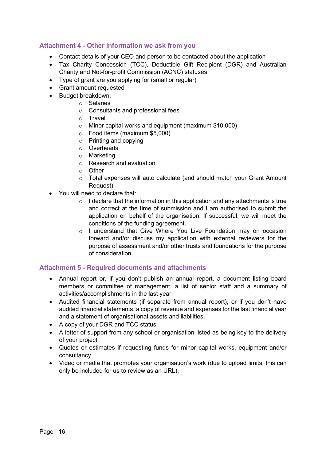## <span id="page-15-0"></span>**Attachment 4 - Other information we ask from you**

- Contact details of your CEO and person to be contacted about the application
- Tax Charity Concession (TCC), Deductible Gift Recipient (DGR) and Australian Charity and Not-for-profit Commission (ACNC) statuses
- Type of grant are you applying for (small or regular)
- Grant amount requested
- Budget breakdown:
	- o Salaries
	- o Consultants and professional fees
	- o Travel
	- o Minor capital works and equipment (maximum \$10,000)
	- o Food items (maximum \$5,000)
	- o Printing and copying
	- o Overheads
	- o Marketing
	- o Research and evaluation
	- o Other
	- o Total expenses will auto calculate (and should match your Grant Amount Request)
- You will need to declare that:
	- $\circ$  I declare that the information in this application and any attachments is true and correct at the time of submission and I am authorised to submit the application on behalf of the organisation. If successful, we will meet the conditions of the funding agreement.
	- o I understand that Give Where You Live Foundation may on occasion forward and/or discuss my application with external reviewers for the purpose of assessment and/or other trusts and foundations for the purpose of consideration.

## <span id="page-15-1"></span>**Attachment 5 - Required documents and attachments**

- Annual report or, if you don't publish an annual report, a document listing board members or committee of management, a list of senior staff and a summary of activities/accomplishments in the last year.
- Audited financial statements (if separate from annual report), or if you don't have audited financial statements, a copy of revenue and expenses for the last financial year and a statement of organisational assets and liabilities.
- A copy of your DGR and TCC status
- A letter of support from any school or organisation listed as being key to the delivery of your project.
- Quotes or estimates if requesting funds for minor capital works, equipment and/or consultancy.
- Video or media that promotes your organisation's work (due to upload limits, this can only be included for us to review as an URL).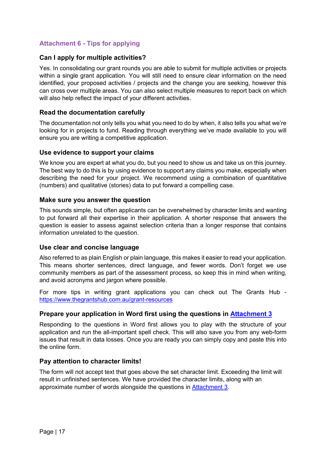# <span id="page-16-0"></span>**Attachment 6 - Tips for applying**

## **Can I apply for multiple activities?**

Yes. In consolidating our grant rounds you are able to submit for multiple activities or projects within a single grant application. You will still need to ensure clear information on the need identified, your proposed activities / projects and the change you are seeking, however this can cross over multiple areas. You can also select multiple measures to report back on which will also help reflect the impact of your different activities.

## **Read the documentation carefully**

The documentation not only tells you what you need to do by when, it also tells you what we're looking for in projects to fund. Reading through everything we've made available to you will ensure you are writing a competitive application.

## **Use evidence to support your claims**

We know you are expert at what you do, but you need to show us and take us on this journey. The best way to do this is by using evidence to support any claims you make, especially when describing the need for your project. We recommend using a combination of quantitative (numbers) and qualitative (stories) data to put forward a compelling case.

## **Make sure you answer the question**

This sounds simple, but often applicants can be overwhelmed by character limits and wanting to put forward all their expertise in their application. A shorter response that answers the question is easier to assess against selection criteria than a longer response that contains information unrelated to the question.

## **Use clear and concise language**

Also referred to as plain English or plain language, this makes it easier to read your application. This means shorter sentences, direct language, and fewer words. Don't forget we use community members as part of the assessment process, so keep this in mind when writing, and avoid acronyms and jargon where possible.

For more tips in writing grant applications you can check out The Grants Hub <https://www.thegrantshub.com.au/grant-resources>

## **Prepare your application in Word first using the questions in [Attachment 3](#page-12-0)**

Responding to the questions in Word first allows you to play with the structure of your application and run the all-important spell check. This will also save you from any web-form issues that result in data losses. Once you are ready you can simply copy and paste this into the online form.

## **Pay attention to character limits!**

The form will not accept text that goes above the set character limit. Exceeding the limit will result in unfinished sentences. We have provided the character limits, along with an approximate number of words alongside the questions in [Attachment 3.](#page-12-0)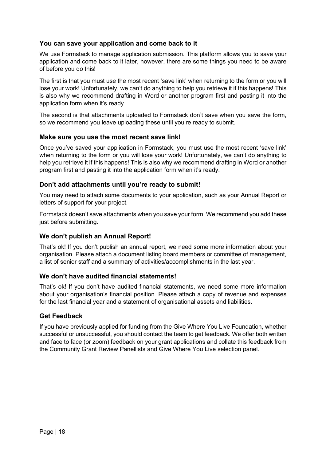## **You can save your application and come back to it**

We use Formstack to manage application submission. This platform allows you to save your application and come back to it later, however, there are some things you need to be aware of before you do this!

The first is that you must use the most recent 'save link' when returning to the form or you will lose your work! Unfortunately, we can't do anything to help you retrieve it if this happens! This is also why we recommend drafting in Word or another program first and pasting it into the application form when it's ready.

The second is that attachments uploaded to Formstack don't save when you save the form, so we recommend you leave uploading these until you're ready to submit.

## **Make sure you use the most recent save link!**

Once you've saved your application in Formstack, you must use the most recent 'save link' when returning to the form or you will lose your work! Unfortunately, we can't do anything to help you retrieve it if this happens! This is also why we recommend drafting in Word or another program first and pasting it into the application form when it's ready.

## **Don't add attachments until you're ready to submit!**

You may need to attach some documents to your application, such as your Annual Report or letters of support for your project.

Formstack doesn't save attachments when you save your form. We recommend you add these just before submitting.

## **We don't publish an Annual Report!**

That's ok! If you don't publish an annual report, we need some more information about your organisation. Please attach a document listing board members or committee of management, a list of senior staff and a summary of activities/accomplishments in the last year.

## **We don't have audited financial statements!**

That's ok! If you don't have audited financial statements, we need some more information about your organisation's financial position. Please attach a copy of revenue and expenses for the last financial year and a statement of organisational assets and liabilities.

## **Get Feedback**

If you have previously applied for funding from the Give Where You Live Foundation, whether successful or unsuccessful, you should contact the team to get feedback. We offer both written and face to face (or zoom) feedback on your grant applications and collate this feedback from the Community Grant Review Panellists and Give Where You Live selection panel.